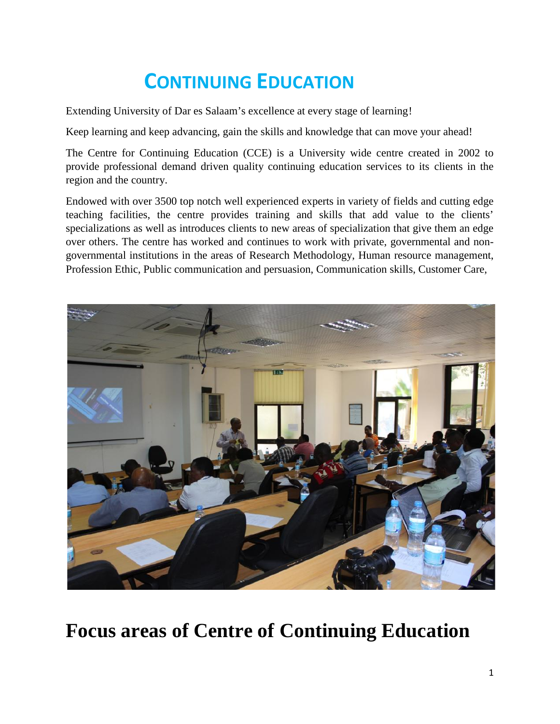# **CONTINUING EDUCATION**

Extending University of Dar es Salaam's excellence at every stage of learning!

Keep learning and keep advancing, gain the skills and knowledge that can move your ahead!

The Centre for Continuing Education (CCE) is a University wide centre created in 2002 to provide professional demand driven quality continuing education services to its clients in the region and the country.

Endowed with over 3500 top notch well experienced experts in variety of fields and cutting edge teaching facilities, the centre provides training and skills that add value to the clients' specializations as well as introduces clients to new areas of specialization that give them an edge over others. The centre has worked and continues to work with private, governmental and non governmental institutions in the areas of Research Methodology, Human resource management, Profession Ethic, Public communication and persuasion, Communication skills, Customer Care,



## **Focus areas of Centre of Continuing Education**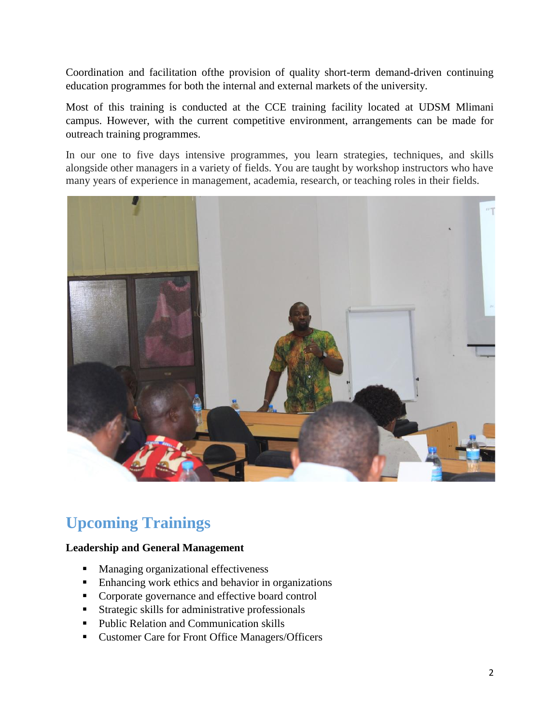Coordination and facilitation ofthe provision of quality short-term demand-driven continuing education programmes for both the internal and external markets of the university.

Most of this training is conducted at the CCE training facility located at UDSM Mlimani campus. However, with the current competitive environment, arrangements can be made for outreach training programmes.

In our one to five days intensive programmes, you learn strategies, techniques, and skills alongside other managers in a variety of fields. You are taught by workshop instructors who have many years of experience in management, academia, research, or teaching roles in their fields.



## **Upcoming Trainings**

#### **Leadership and General Management**

- **Managing organizational effectiveness**
- **Enhancing work ethics and behavior in organizations**
- Corporate governance and effective board control
- **Strategic skills for administrative professionals**
- **Public Relation and Communication skills**
- **Customer Care for Front Office Managers/Officers**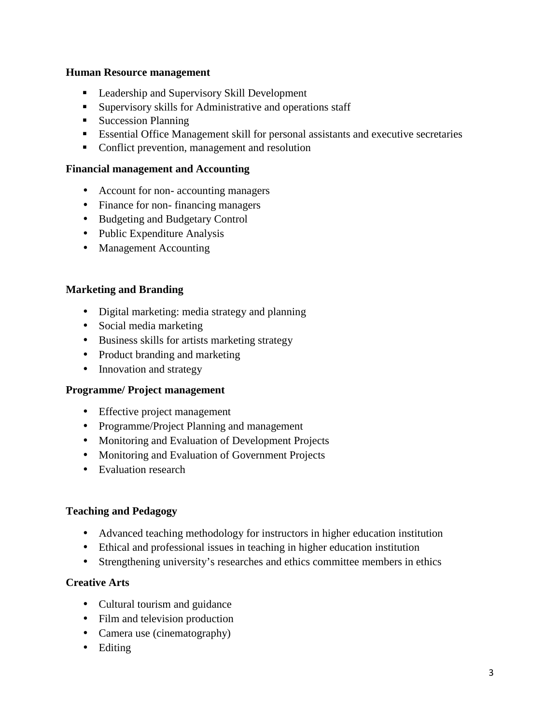#### **Human Resource management**

- **Leadership and Supervisory Skill Development**
- Supervisory skills for Administrative and operations staff
- **Succession Planning**
- Essential Office Management skill for personal assistants and executive secretaries
- Conflict prevention, management and resolution

#### **Financial management and Accounting**

- Account for non- accounting managers
- Finance for non- financing managers
- Budgeting and Budgetary Control
- Public Expenditure Analysis
- Management Accounting

#### **Marketing and Branding**

- Digital marketing: media strategy and planning
- Social media marketing
- Business skills for artists marketing strategy
- Product branding and marketing
- Innovation and strategy

#### **Programme/ Project management**

- Effective project management
- Programme/Project Planning and management
- Monitoring and Evaluation of Development Projects
- Monitoring and Evaluation of Government Projects
- Evaluation research

#### **Teaching and Pedagogy**

- Advanced teaching methodology for instructors in higher education institution
- Ethical and professional issues in teaching in higher education institution
- Strengthening university's researches and ethics committee members in ethics

#### **Creative Arts**

- Cultural tourism and guidance
- Film and television production
- Camera use (cinematography)
- Editing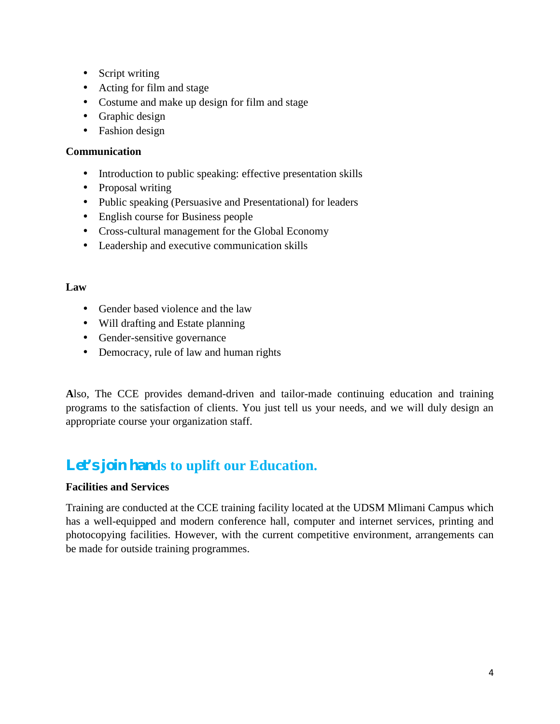Script writing

Acting for film and stage

Costume and make up design for film and stage

Graphic design

Fashion design

#### **Communication**

Introduction to public speaking: effective presentation skills

Proposal writing

Public speaking (Persuasive and Presentational) for leaders

English course for Business people

Cross-cultural management for the Global Economy

Leadership and executive communication skills

#### **Law**

Gender based violence and the law

Will drafting and Estate planning

Gender-sensitive governance

Democracy, rule of law and human rights

**A**lso, The CCE provides demand-driven and tailor-made continuing education and training programs to the satisfaction of clients. You just tell us your needs, and we will duly design an appropriate course your organization staff.

### **Let's join hands to uplift our Education.**

#### **Facilities and Services**

Training are conducted at the CCE training facility located at the UDSM Mlimani Campus which has a well-equipped and modern conference hall, computer and internet services, printing and photocopying facilities. However, with the current competitive environment, arrangements can be made for outside training programmes.